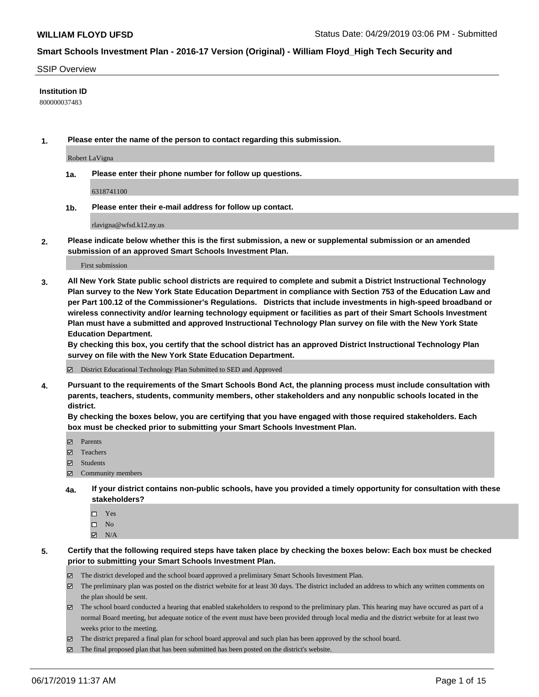#### SSIP Overview

#### **Institution ID**

800000037483

**1. Please enter the name of the person to contact regarding this submission.**

Robert LaVigna

**1a. Please enter their phone number for follow up questions.**

6318741100

**1b. Please enter their e-mail address for follow up contact.**

rlavigna@wfsd.k12.ny.us

**2. Please indicate below whether this is the first submission, a new or supplemental submission or an amended submission of an approved Smart Schools Investment Plan.**

First submission

**3. All New York State public school districts are required to complete and submit a District Instructional Technology Plan survey to the New York State Education Department in compliance with Section 753 of the Education Law and per Part 100.12 of the Commissioner's Regulations. Districts that include investments in high-speed broadband or wireless connectivity and/or learning technology equipment or facilities as part of their Smart Schools Investment Plan must have a submitted and approved Instructional Technology Plan survey on file with the New York State Education Department.** 

**By checking this box, you certify that the school district has an approved District Instructional Technology Plan survey on file with the New York State Education Department.**

District Educational Technology Plan Submitted to SED and Approved

**4. Pursuant to the requirements of the Smart Schools Bond Act, the planning process must include consultation with parents, teachers, students, community members, other stakeholders and any nonpublic schools located in the district.** 

**By checking the boxes below, you are certifying that you have engaged with those required stakeholders. Each box must be checked prior to submitting your Smart Schools Investment Plan.**

- Parents
- Teachers
- Students
- $\Xi$  Community members
- **4a. If your district contains non-public schools, have you provided a timely opportunity for consultation with these stakeholders?**
	- □ Yes
	- $\square$  No
	- $N/A$

**5. Certify that the following required steps have taken place by checking the boxes below: Each box must be checked prior to submitting your Smart Schools Investment Plan.**

- The district developed and the school board approved a preliminary Smart Schools Investment Plan.
- $\boxtimes$  The preliminary plan was posted on the district website for at least 30 days. The district included an address to which any written comments on the plan should be sent.
- $\boxtimes$  The school board conducted a hearing that enabled stakeholders to respond to the preliminary plan. This hearing may have occured as part of a normal Board meeting, but adequate notice of the event must have been provided through local media and the district website for at least two weeks prior to the meeting.
- The district prepared a final plan for school board approval and such plan has been approved by the school board.
- $\boxtimes$  The final proposed plan that has been submitted has been posted on the district's website.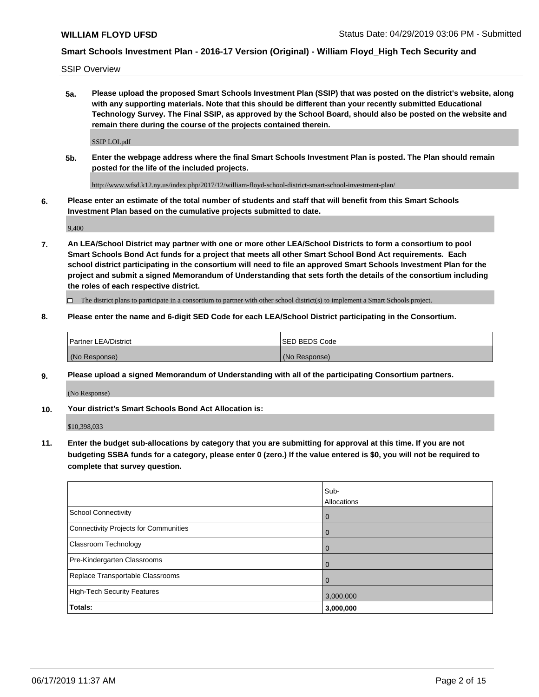SSIP Overview

**5a. Please upload the proposed Smart Schools Investment Plan (SSIP) that was posted on the district's website, along with any supporting materials. Note that this should be different than your recently submitted Educational Technology Survey. The Final SSIP, as approved by the School Board, should also be posted on the website and remain there during the course of the projects contained therein.**

SSIP LOI.pdf

**5b. Enter the webpage address where the final Smart Schools Investment Plan is posted. The Plan should remain posted for the life of the included projects.**

http://www.wfsd.k12.ny.us/index.php/2017/12/william-floyd-school-district-smart-school-investment-plan/

**6. Please enter an estimate of the total number of students and staff that will benefit from this Smart Schools Investment Plan based on the cumulative projects submitted to date.**

9,400

**7. An LEA/School District may partner with one or more other LEA/School Districts to form a consortium to pool Smart Schools Bond Act funds for a project that meets all other Smart School Bond Act requirements. Each school district participating in the consortium will need to file an approved Smart Schools Investment Plan for the project and submit a signed Memorandum of Understanding that sets forth the details of the consortium including the roles of each respective district.**

 $\Box$  The district plans to participate in a consortium to partner with other school district(s) to implement a Smart Schools project.

#### **8. Please enter the name and 6-digit SED Code for each LEA/School District participating in the Consortium.**

| Partner LEA/District | <b>ISED BEDS Code</b> |
|----------------------|-----------------------|
| (No Response)        | (No Response)         |

#### **9. Please upload a signed Memorandum of Understanding with all of the participating Consortium partners.**

(No Response)

**10. Your district's Smart Schools Bond Act Allocation is:**

\$10,398,033

**11. Enter the budget sub-allocations by category that you are submitting for approval at this time. If you are not budgeting SSBA funds for a category, please enter 0 (zero.) If the value entered is \$0, you will not be required to complete that survey question.**

|                                       | Sub-<br><b>Allocations</b> |
|---------------------------------------|----------------------------|
| School Connectivity                   | $\overline{0}$             |
| Connectivity Projects for Communities | $\overline{0}$             |
| <b>Classroom Technology</b>           | $\overline{0}$             |
| Pre-Kindergarten Classrooms           | 0                          |
| Replace Transportable Classrooms      |                            |
| High-Tech Security Features           | 3,000,000                  |
| Totals:                               | 3,000,000                  |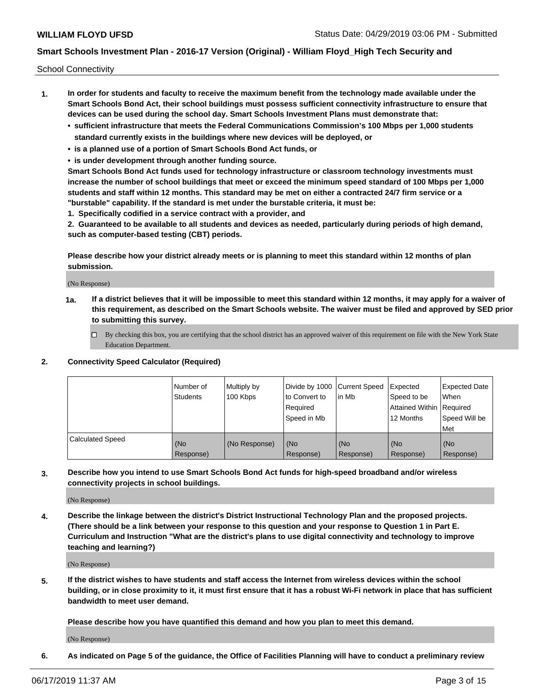School Connectivity

- **1. In order for students and faculty to receive the maximum benefit from the technology made available under the Smart Schools Bond Act, their school buildings must possess sufficient connectivity infrastructure to ensure that devices can be used during the school day. Smart Schools Investment Plans must demonstrate that:**
	- **• sufficient infrastructure that meets the Federal Communications Commission's 100 Mbps per 1,000 students standard currently exists in the buildings where new devices will be deployed, or**
	- **• is a planned use of a portion of Smart Schools Bond Act funds, or**
	- **• is under development through another funding source.**

**Smart Schools Bond Act funds used for technology infrastructure or classroom technology investments must increase the number of school buildings that meet or exceed the minimum speed standard of 100 Mbps per 1,000 students and staff within 12 months. This standard may be met on either a contracted 24/7 firm service or a "burstable" capability. If the standard is met under the burstable criteria, it must be:**

**1. Specifically codified in a service contract with a provider, and**

**2. Guaranteed to be available to all students and devices as needed, particularly during periods of high demand, such as computer-based testing (CBT) periods.**

**Please describe how your district already meets or is planning to meet this standard within 12 months of plan submission.**

(No Response)

**1a. If a district believes that it will be impossible to meet this standard within 12 months, it may apply for a waiver of this requirement, as described on the Smart Schools website. The waiver must be filed and approved by SED prior to submitting this survey.**

 $\Box$  By checking this box, you are certifying that the school district has an approved waiver of this requirement on file with the New York State Education Department.

#### **2. Connectivity Speed Calculator (Required)**

|                         | l Number of<br>Students | Multiply by<br>100 Kbps | Divide by 1000 Current Speed<br>to Convert to<br>Required<br>l Speed in Mb | lin Mb           | Expected<br>Speed to be<br>Attained Within   Required<br>12 Months | <b>Expected Date</b><br>When<br>Speed Will be<br>Met |
|-------------------------|-------------------------|-------------------------|----------------------------------------------------------------------------|------------------|--------------------------------------------------------------------|------------------------------------------------------|
| <b>Calculated Speed</b> | (No<br>Response)        | (No Response)           | (No<br>Response)                                                           | (No<br>Response) | (No<br>Response)                                                   | (No<br>Response)                                     |

**3. Describe how you intend to use Smart Schools Bond Act funds for high-speed broadband and/or wireless connectivity projects in school buildings.**

(No Response)

**4. Describe the linkage between the district's District Instructional Technology Plan and the proposed projects. (There should be a link between your response to this question and your response to Question 1 in Part E. Curriculum and Instruction "What are the district's plans to use digital connectivity and technology to improve teaching and learning?)**

(No Response)

**5. If the district wishes to have students and staff access the Internet from wireless devices within the school building, or in close proximity to it, it must first ensure that it has a robust Wi-Fi network in place that has sufficient bandwidth to meet user demand.**

**Please describe how you have quantified this demand and how you plan to meet this demand.**

(No Response)

**6. As indicated on Page 5 of the guidance, the Office of Facilities Planning will have to conduct a preliminary review**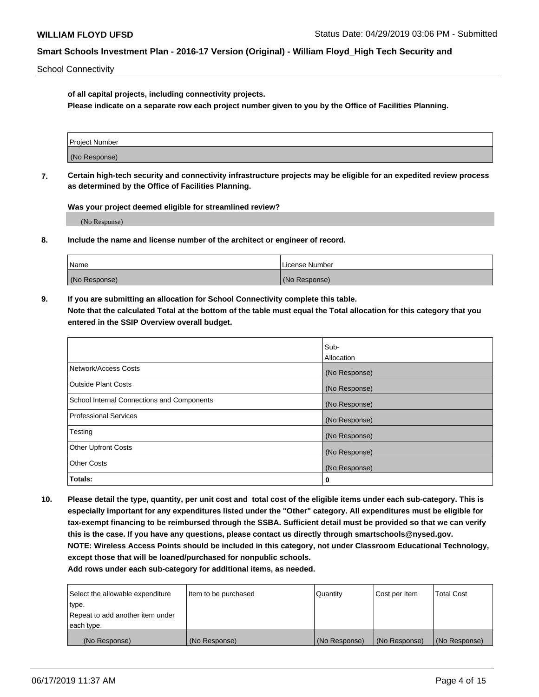School Connectivity

**of all capital projects, including connectivity projects.**

**Please indicate on a separate row each project number given to you by the Office of Facilities Planning.**

**7. Certain high-tech security and connectivity infrastructure projects may be eligible for an expedited review process as determined by the Office of Facilities Planning.**

**Was your project deemed eligible for streamlined review?**

(No Response)

**8. Include the name and license number of the architect or engineer of record.**

| Name          | License Number |
|---------------|----------------|
| (No Response) | (No Response)  |

**9. If you are submitting an allocation for School Connectivity complete this table. Note that the calculated Total at the bottom of the table must equal the Total allocation for this category that you entered in the SSIP Overview overall budget.** 

|                                            | Sub-              |
|--------------------------------------------|-------------------|
|                                            | <b>Allocation</b> |
| Network/Access Costs                       | (No Response)     |
| <b>Outside Plant Costs</b>                 | (No Response)     |
| School Internal Connections and Components | (No Response)     |
| <b>Professional Services</b>               | (No Response)     |
| Testing                                    | (No Response)     |
| <b>Other Upfront Costs</b>                 | (No Response)     |
| <b>Other Costs</b>                         | (No Response)     |
| Totals:                                    | 0                 |

**10. Please detail the type, quantity, per unit cost and total cost of the eligible items under each sub-category. This is especially important for any expenditures listed under the "Other" category. All expenditures must be eligible for tax-exempt financing to be reimbursed through the SSBA. Sufficient detail must be provided so that we can verify this is the case. If you have any questions, please contact us directly through smartschools@nysed.gov. NOTE: Wireless Access Points should be included in this category, not under Classroom Educational Technology, except those that will be loaned/purchased for nonpublic schools.**

| Select the allowable expenditure | Item to be purchased | Quantity      | Cost per Item | <b>Total Cost</b> |
|----------------------------------|----------------------|---------------|---------------|-------------------|
| type.                            |                      |               |               |                   |
| Repeat to add another item under |                      |               |               |                   |
| each type.                       |                      |               |               |                   |
| (No Response)                    | (No Response)        | (No Response) | (No Response) | (No Response)     |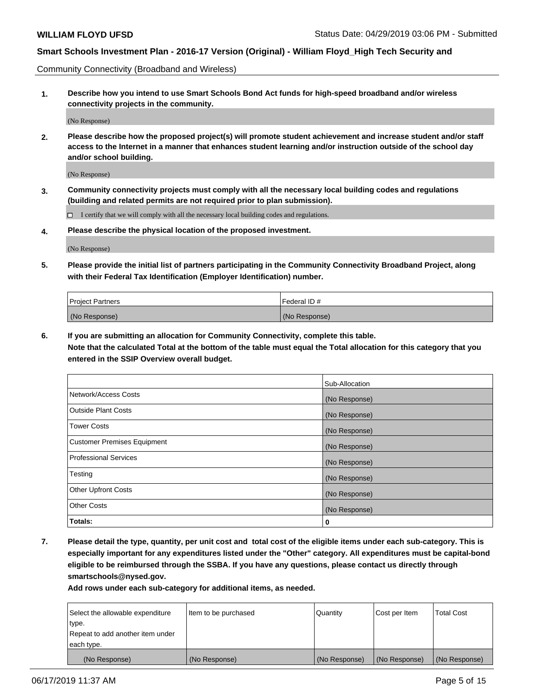Community Connectivity (Broadband and Wireless)

**1. Describe how you intend to use Smart Schools Bond Act funds for high-speed broadband and/or wireless connectivity projects in the community.**

(No Response)

**2. Please describe how the proposed project(s) will promote student achievement and increase student and/or staff access to the Internet in a manner that enhances student learning and/or instruction outside of the school day and/or school building.**

(No Response)

**3. Community connectivity projects must comply with all the necessary local building codes and regulations (building and related permits are not required prior to plan submission).**

 $\Box$  I certify that we will comply with all the necessary local building codes and regulations.

**4. Please describe the physical location of the proposed investment.**

(No Response)

**5. Please provide the initial list of partners participating in the Community Connectivity Broadband Project, along with their Federal Tax Identification (Employer Identification) number.**

| <b>Project Partners</b> | Federal ID#   |
|-------------------------|---------------|
| (No Response)           | (No Response) |

**6. If you are submitting an allocation for Community Connectivity, complete this table.**

**Note that the calculated Total at the bottom of the table must equal the Total allocation for this category that you entered in the SSIP Overview overall budget.**

|                                    | Sub-Allocation |
|------------------------------------|----------------|
| Network/Access Costs               | (No Response)  |
| <b>Outside Plant Costs</b>         | (No Response)  |
| <b>Tower Costs</b>                 | (No Response)  |
| <b>Customer Premises Equipment</b> | (No Response)  |
| <b>Professional Services</b>       | (No Response)  |
| Testing                            | (No Response)  |
| <b>Other Upfront Costs</b>         | (No Response)  |
| <b>Other Costs</b>                 | (No Response)  |
| Totals:                            | 0              |

**7. Please detail the type, quantity, per unit cost and total cost of the eligible items under each sub-category. This is especially important for any expenditures listed under the "Other" category. All expenditures must be capital-bond eligible to be reimbursed through the SSBA. If you have any questions, please contact us directly through smartschools@nysed.gov.**

| Select the allowable expenditure<br>type.      | Item to be purchased | Quantity      | Cost per Item | <b>Total Cost</b> |
|------------------------------------------------|----------------------|---------------|---------------|-------------------|
| Repeat to add another item under<br>each type. |                      |               |               |                   |
| (No Response)                                  | (No Response)        | (No Response) | (No Response) | (No Response)     |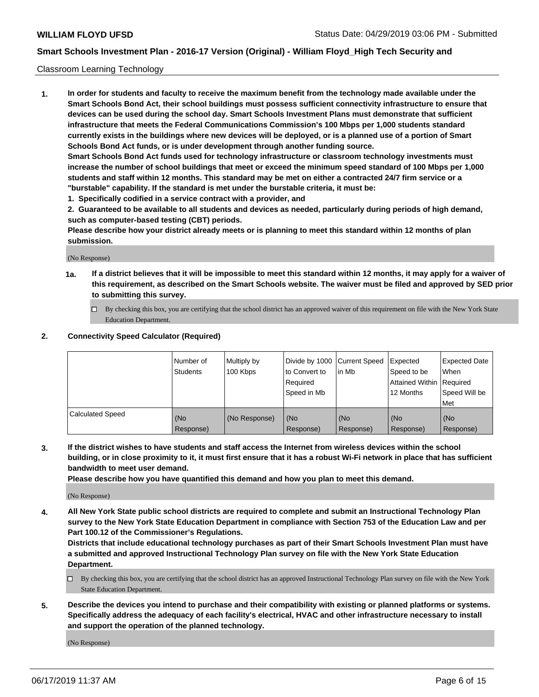#### Classroom Learning Technology

**1. In order for students and faculty to receive the maximum benefit from the technology made available under the Smart Schools Bond Act, their school buildings must possess sufficient connectivity infrastructure to ensure that devices can be used during the school day. Smart Schools Investment Plans must demonstrate that sufficient infrastructure that meets the Federal Communications Commission's 100 Mbps per 1,000 students standard currently exists in the buildings where new devices will be deployed, or is a planned use of a portion of Smart Schools Bond Act funds, or is under development through another funding source. Smart Schools Bond Act funds used for technology infrastructure or classroom technology investments must increase the number of school buildings that meet or exceed the minimum speed standard of 100 Mbps per 1,000 students and staff within 12 months. This standard may be met on either a contracted 24/7 firm service or a "burstable" capability. If the standard is met under the burstable criteria, it must be:**

**1. Specifically codified in a service contract with a provider, and**

**2. Guaranteed to be available to all students and devices as needed, particularly during periods of high demand, such as computer-based testing (CBT) periods.**

**Please describe how your district already meets or is planning to meet this standard within 12 months of plan submission.**

(No Response)

- **1a. If a district believes that it will be impossible to meet this standard within 12 months, it may apply for a waiver of this requirement, as described on the Smart Schools website. The waiver must be filed and approved by SED prior to submitting this survey.**
	- By checking this box, you are certifying that the school district has an approved waiver of this requirement on file with the New York State Education Department.

#### **2. Connectivity Speed Calculator (Required)**

|                         | l Number of<br><b>Students</b> | Multiply by<br>100 Kbps | to Convert to<br>Required<br>Speed in Mb | Divide by 1000 Current Speed<br>lin Mb | Expected<br>Speed to be<br>Attained Within   Required<br>12 Months | <b>Expected Date</b><br>When<br>Speed Will be<br><b>Met</b> |
|-------------------------|--------------------------------|-------------------------|------------------------------------------|----------------------------------------|--------------------------------------------------------------------|-------------------------------------------------------------|
| <b>Calculated Speed</b> | (No<br>Response)               | (No Response)           | (No<br>Response)                         | (No<br>Response)                       | (No<br>Response)                                                   | (No<br>Response)                                            |

**3. If the district wishes to have students and staff access the Internet from wireless devices within the school building, or in close proximity to it, it must first ensure that it has a robust Wi-Fi network in place that has sufficient bandwidth to meet user demand.**

**Please describe how you have quantified this demand and how you plan to meet this demand.**

(No Response)

**4. All New York State public school districts are required to complete and submit an Instructional Technology Plan survey to the New York State Education Department in compliance with Section 753 of the Education Law and per Part 100.12 of the Commissioner's Regulations.**

**Districts that include educational technology purchases as part of their Smart Schools Investment Plan must have a submitted and approved Instructional Technology Plan survey on file with the New York State Education Department.**

- $\Box$  By checking this box, you are certifying that the school district has an approved Instructional Technology Plan survey on file with the New York State Education Department.
- **5. Describe the devices you intend to purchase and their compatibility with existing or planned platforms or systems. Specifically address the adequacy of each facility's electrical, HVAC and other infrastructure necessary to install and support the operation of the planned technology.**

(No Response)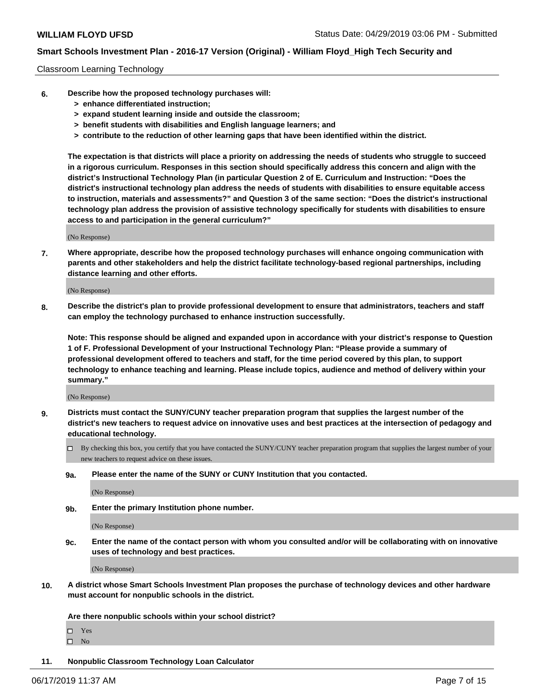#### Classroom Learning Technology

- **6. Describe how the proposed technology purchases will:**
	- **> enhance differentiated instruction;**
	- **> expand student learning inside and outside the classroom;**
	- **> benefit students with disabilities and English language learners; and**
	- **> contribute to the reduction of other learning gaps that have been identified within the district.**

**The expectation is that districts will place a priority on addressing the needs of students who struggle to succeed in a rigorous curriculum. Responses in this section should specifically address this concern and align with the district's Instructional Technology Plan (in particular Question 2 of E. Curriculum and Instruction: "Does the district's instructional technology plan address the needs of students with disabilities to ensure equitable access to instruction, materials and assessments?" and Question 3 of the same section: "Does the district's instructional technology plan address the provision of assistive technology specifically for students with disabilities to ensure access to and participation in the general curriculum?"**

(No Response)

**7. Where appropriate, describe how the proposed technology purchases will enhance ongoing communication with parents and other stakeholders and help the district facilitate technology-based regional partnerships, including distance learning and other efforts.**

(No Response)

**8. Describe the district's plan to provide professional development to ensure that administrators, teachers and staff can employ the technology purchased to enhance instruction successfully.**

**Note: This response should be aligned and expanded upon in accordance with your district's response to Question 1 of F. Professional Development of your Instructional Technology Plan: "Please provide a summary of professional development offered to teachers and staff, for the time period covered by this plan, to support technology to enhance teaching and learning. Please include topics, audience and method of delivery within your summary."**

(No Response)

- **9. Districts must contact the SUNY/CUNY teacher preparation program that supplies the largest number of the district's new teachers to request advice on innovative uses and best practices at the intersection of pedagogy and educational technology.**
	- By checking this box, you certify that you have contacted the SUNY/CUNY teacher preparation program that supplies the largest number of your new teachers to request advice on these issues.
	- **9a. Please enter the name of the SUNY or CUNY Institution that you contacted.**

(No Response)

**9b. Enter the primary Institution phone number.**

(No Response)

**9c. Enter the name of the contact person with whom you consulted and/or will be collaborating with on innovative uses of technology and best practices.**

(No Response)

**10. A district whose Smart Schools Investment Plan proposes the purchase of technology devices and other hardware must account for nonpublic schools in the district.**

**Are there nonpublic schools within your school district?**

Yes

 $\square$  No

**11. Nonpublic Classroom Technology Loan Calculator**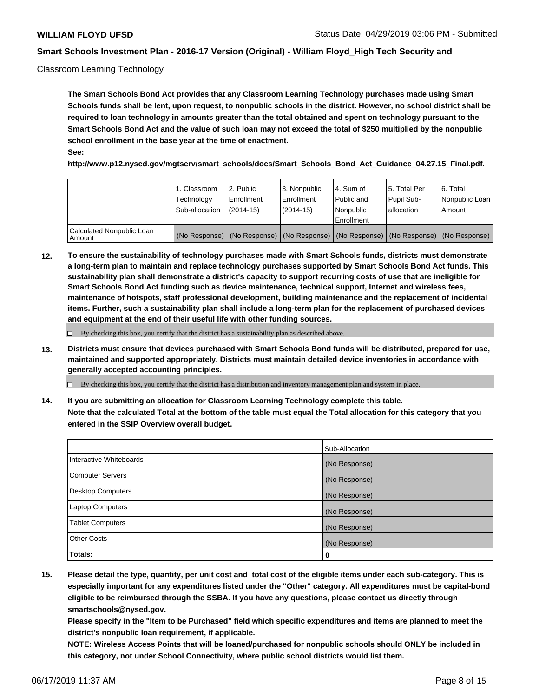#### Classroom Learning Technology

**The Smart Schools Bond Act provides that any Classroom Learning Technology purchases made using Smart Schools funds shall be lent, upon request, to nonpublic schools in the district. However, no school district shall be required to loan technology in amounts greater than the total obtained and spent on technology pursuant to the Smart Schools Bond Act and the value of such loan may not exceed the total of \$250 multiplied by the nonpublic school enrollment in the base year at the time of enactment. See:**

**http://www.p12.nysed.gov/mgtserv/smart\_schools/docs/Smart\_Schools\_Bond\_Act\_Guidance\_04.27.15\_Final.pdf.**

|                                       | 1. Classroom<br>Technology<br>Sub-allocation | 2. Public<br>l Enrollment<br>$(2014-15)$ | l 3. Nonpublic<br>l Enrollment<br>$(2014 - 15)$ | l 4. Sum of<br>Public and<br>l Nonpublic<br>Enrollment                                        | 15. Total Per<br>Pupil Sub-<br>l allocation | l 6. Total<br>Nonpublic Loan<br>Amount |
|---------------------------------------|----------------------------------------------|------------------------------------------|-------------------------------------------------|-----------------------------------------------------------------------------------------------|---------------------------------------------|----------------------------------------|
| Calculated Nonpublic Loan<br>l Amount |                                              |                                          |                                                 | (No Response)   (No Response)   (No Response)   (No Response)   (No Response)   (No Response) |                                             |                                        |

**12. To ensure the sustainability of technology purchases made with Smart Schools funds, districts must demonstrate a long-term plan to maintain and replace technology purchases supported by Smart Schools Bond Act funds. This sustainability plan shall demonstrate a district's capacity to support recurring costs of use that are ineligible for Smart Schools Bond Act funding such as device maintenance, technical support, Internet and wireless fees, maintenance of hotspots, staff professional development, building maintenance and the replacement of incidental items. Further, such a sustainability plan shall include a long-term plan for the replacement of purchased devices and equipment at the end of their useful life with other funding sources.**

 $\Box$  By checking this box, you certify that the district has a sustainability plan as described above.

**13. Districts must ensure that devices purchased with Smart Schools Bond funds will be distributed, prepared for use, maintained and supported appropriately. Districts must maintain detailed device inventories in accordance with generally accepted accounting principles.**

By checking this box, you certify that the district has a distribution and inventory management plan and system in place.

**14. If you are submitting an allocation for Classroom Learning Technology complete this table. Note that the calculated Total at the bottom of the table must equal the Total allocation for this category that you entered in the SSIP Overview overall budget.**

|                          | Sub-Allocation |
|--------------------------|----------------|
| Interactive Whiteboards  | (No Response)  |
| <b>Computer Servers</b>  | (No Response)  |
| <b>Desktop Computers</b> | (No Response)  |
| <b>Laptop Computers</b>  | (No Response)  |
| <b>Tablet Computers</b>  | (No Response)  |
| <b>Other Costs</b>       | (No Response)  |
| Totals:                  | 0              |

**15. Please detail the type, quantity, per unit cost and total cost of the eligible items under each sub-category. This is especially important for any expenditures listed under the "Other" category. All expenditures must be capital-bond eligible to be reimbursed through the SSBA. If you have any questions, please contact us directly through smartschools@nysed.gov.**

**Please specify in the "Item to be Purchased" field which specific expenditures and items are planned to meet the district's nonpublic loan requirement, if applicable.**

**NOTE: Wireless Access Points that will be loaned/purchased for nonpublic schools should ONLY be included in this category, not under School Connectivity, where public school districts would list them.**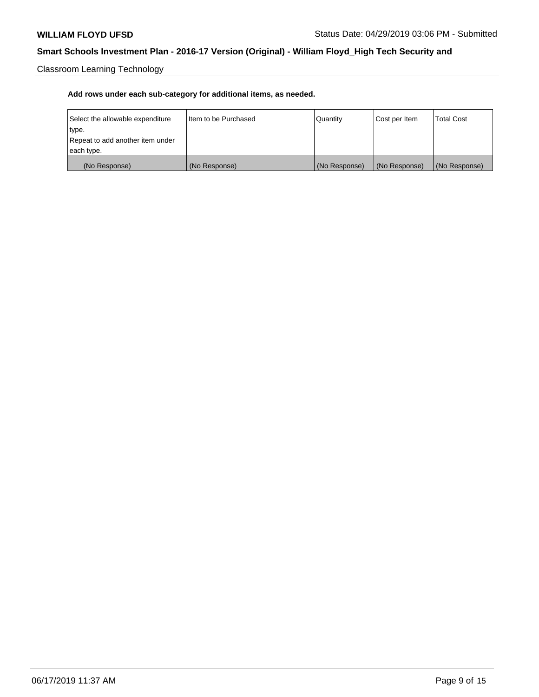Classroom Learning Technology

| Select the allowable expenditure | Iltem to be Purchased | Quantity      | Cost per Item | <b>Total Cost</b> |
|----------------------------------|-----------------------|---------------|---------------|-------------------|
| type.                            |                       |               |               |                   |
| Repeat to add another item under |                       |               |               |                   |
| each type.                       |                       |               |               |                   |
| (No Response)                    | (No Response)         | (No Response) | (No Response) | (No Response)     |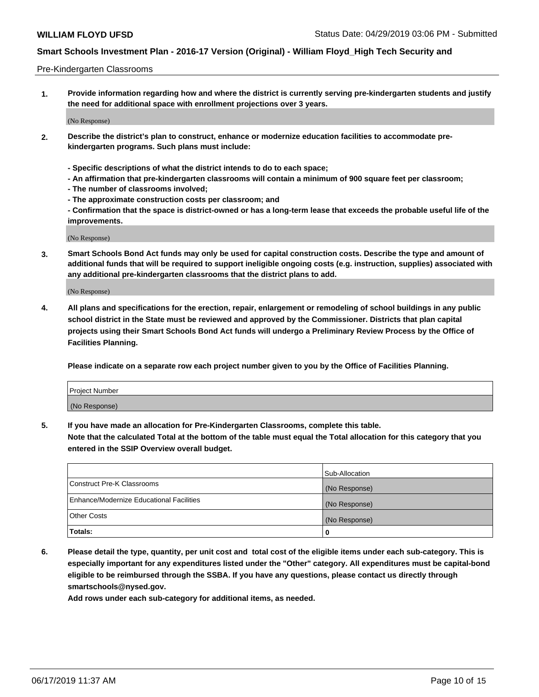#### Pre-Kindergarten Classrooms

**1. Provide information regarding how and where the district is currently serving pre-kindergarten students and justify the need for additional space with enrollment projections over 3 years.**

(No Response)

- **2. Describe the district's plan to construct, enhance or modernize education facilities to accommodate prekindergarten programs. Such plans must include:**
	- **Specific descriptions of what the district intends to do to each space;**
	- **An affirmation that pre-kindergarten classrooms will contain a minimum of 900 square feet per classroom;**
	- **The number of classrooms involved;**
	- **The approximate construction costs per classroom; and**
	- **Confirmation that the space is district-owned or has a long-term lease that exceeds the probable useful life of the improvements.**

(No Response)

**3. Smart Schools Bond Act funds may only be used for capital construction costs. Describe the type and amount of additional funds that will be required to support ineligible ongoing costs (e.g. instruction, supplies) associated with any additional pre-kindergarten classrooms that the district plans to add.**

(No Response)

**4. All plans and specifications for the erection, repair, enlargement or remodeling of school buildings in any public school district in the State must be reviewed and approved by the Commissioner. Districts that plan capital projects using their Smart Schools Bond Act funds will undergo a Preliminary Review Process by the Office of Facilities Planning.**

**Please indicate on a separate row each project number given to you by the Office of Facilities Planning.**

| Project Number |  |
|----------------|--|
| (No Response)  |  |
|                |  |

**5. If you have made an allocation for Pre-Kindergarten Classrooms, complete this table.**

**Note that the calculated Total at the bottom of the table must equal the Total allocation for this category that you entered in the SSIP Overview overall budget.**

|                                          | Sub-Allocation |
|------------------------------------------|----------------|
| Construct Pre-K Classrooms               | (No Response)  |
| Enhance/Modernize Educational Facilities | (No Response)  |
| <b>Other Costs</b>                       | (No Response)  |
| Totals:                                  | 0              |

**6. Please detail the type, quantity, per unit cost and total cost of the eligible items under each sub-category. This is especially important for any expenditures listed under the "Other" category. All expenditures must be capital-bond eligible to be reimbursed through the SSBA. If you have any questions, please contact us directly through smartschools@nysed.gov.**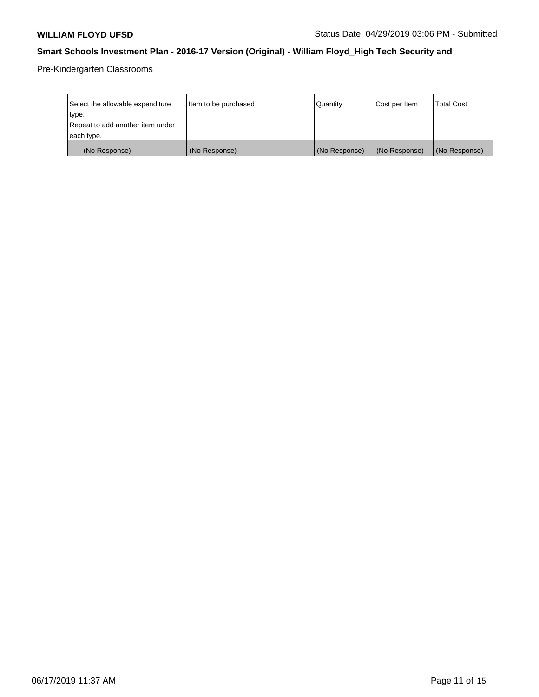Pre-Kindergarten Classrooms

| Select the allowable expenditure | Item to be purchased | Quantity      | Cost per Item | <b>Total Cost</b> |
|----------------------------------|----------------------|---------------|---------------|-------------------|
| type.                            |                      |               |               |                   |
| Repeat to add another item under |                      |               |               |                   |
| each type.                       |                      |               |               |                   |
| (No Response)                    | (No Response)        | (No Response) | (No Response) | (No Response)     |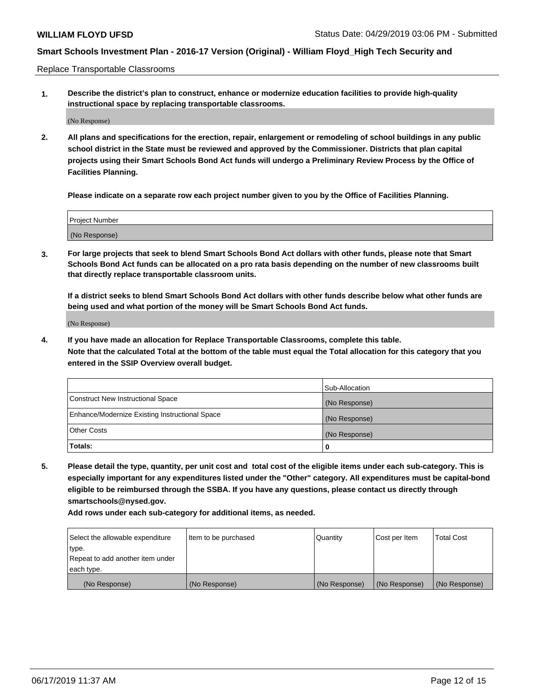Replace Transportable Classrooms

**1. Describe the district's plan to construct, enhance or modernize education facilities to provide high-quality instructional space by replacing transportable classrooms.**

(No Response)

**2. All plans and specifications for the erection, repair, enlargement or remodeling of school buildings in any public school district in the State must be reviewed and approved by the Commissioner. Districts that plan capital projects using their Smart Schools Bond Act funds will undergo a Preliminary Review Process by the Office of Facilities Planning.**

**Please indicate on a separate row each project number given to you by the Office of Facilities Planning.**

| Project Number |  |
|----------------|--|
|                |  |
|                |  |
|                |  |
|                |  |
| (No Response)  |  |
|                |  |
|                |  |
|                |  |

**3. For large projects that seek to blend Smart Schools Bond Act dollars with other funds, please note that Smart Schools Bond Act funds can be allocated on a pro rata basis depending on the number of new classrooms built that directly replace transportable classroom units.**

**If a district seeks to blend Smart Schools Bond Act dollars with other funds describe below what other funds are being used and what portion of the money will be Smart Schools Bond Act funds.**

(No Response)

**4. If you have made an allocation for Replace Transportable Classrooms, complete this table. Note that the calculated Total at the bottom of the table must equal the Total allocation for this category that you entered in the SSIP Overview overall budget.**

|                                                | Sub-Allocation |
|------------------------------------------------|----------------|
| Construct New Instructional Space              | (No Response)  |
| Enhance/Modernize Existing Instructional Space | (No Response)  |
| <b>Other Costs</b>                             | (No Response)  |
| Totals:                                        | 0              |

**5. Please detail the type, quantity, per unit cost and total cost of the eligible items under each sub-category. This is especially important for any expenditures listed under the "Other" category. All expenditures must be capital-bond eligible to be reimbursed through the SSBA. If you have any questions, please contact us directly through smartschools@nysed.gov.**

| Select the allowable expenditure | Item to be purchased | l Quantitv    | Cost per Item | <b>Total Cost</b> |
|----------------------------------|----------------------|---------------|---------------|-------------------|
| type.                            |                      |               |               |                   |
| Repeat to add another item under |                      |               |               |                   |
| each type.                       |                      |               |               |                   |
| (No Response)                    | (No Response)        | (No Response) | (No Response) | (No Response)     |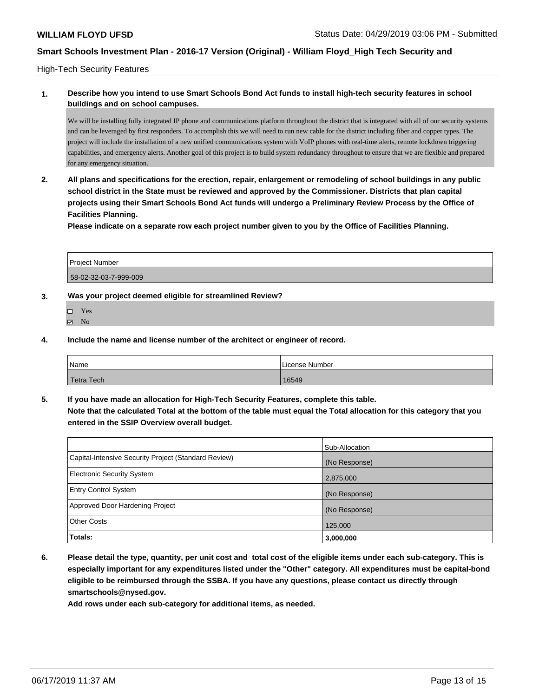#### High-Tech Security Features

## **1. Describe how you intend to use Smart Schools Bond Act funds to install high-tech security features in school buildings and on school campuses.**

We will be installing fully integrated IP phone and communications platform throughout the district that is integrated with all of our security systems and can be leveraged by first responders. To accomplish this we will need to run new cable for the district including fiber and copper types. The project will include the installation of a new unified communications system with VoIP phones with real-time alerts, remote lockdown triggering capabilities, and emergency alerts. Another goal of this project is to build system redundancy throughout to ensure that we are flexible and prepared for any emergency situation.

**2. All plans and specifications for the erection, repair, enlargement or remodeling of school buildings in any public school district in the State must be reviewed and approved by the Commissioner. Districts that plan capital projects using their Smart Schools Bond Act funds will undergo a Preliminary Review Process by the Office of Facilities Planning.** 

**Please indicate on a separate row each project number given to you by the Office of Facilities Planning.**

| <b>Project Number</b> |  |
|-----------------------|--|
| 58-02-32-03-7-999-009 |  |

### **3. Was your project deemed eligible for streamlined Review?**

- Yes  $\boxtimes$  No
- **4. Include the name and license number of the architect or engineer of record.**

| Name                    | License Number |
|-------------------------|----------------|
| <sup>'</sup> Tetra Tech | 16549          |

**5. If you have made an allocation for High-Tech Security Features, complete this table. Note that the calculated Total at the bottom of the table must equal the Total allocation for this category that you entered in the SSIP Overview overall budget.**

|                                                      | Sub-Allocation |
|------------------------------------------------------|----------------|
| Capital-Intensive Security Project (Standard Review) | (No Response)  |
| <b>Electronic Security System</b>                    | 2,875,000      |
| <b>Entry Control System</b>                          | (No Response)  |
| Approved Door Hardening Project                      | (No Response)  |
| <b>Other Costs</b>                                   | 125,000        |
| Totals:                                              | 3,000,000      |

**6. Please detail the type, quantity, per unit cost and total cost of the eligible items under each sub-category. This is especially important for any expenditures listed under the "Other" category. All expenditures must be capital-bond eligible to be reimbursed through the SSBA. If you have any questions, please contact us directly through smartschools@nysed.gov.**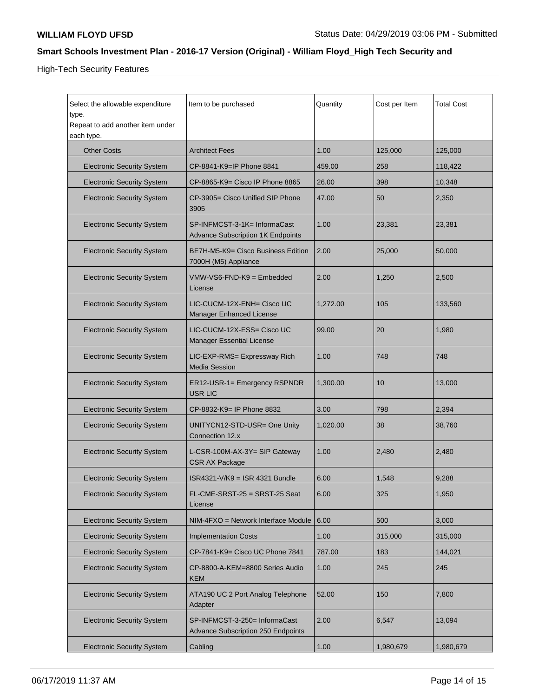High-Tech Security Features

| Select the allowable expenditure<br>type.<br>Repeat to add another item under<br>each type. | Item to be purchased                                                       | Quantity | Cost per Item | <b>Total Cost</b> |
|---------------------------------------------------------------------------------------------|----------------------------------------------------------------------------|----------|---------------|-------------------|
| <b>Other Costs</b>                                                                          | <b>Architect Fees</b>                                                      | 1.00     | 125,000       | 125,000           |
| <b>Electronic Security System</b>                                                           | CP-8841-K9=IP Phone 8841                                                   | 459.00   | 258           | 118,422           |
| <b>Electronic Security System</b>                                                           | CP-8865-K9= Cisco IP Phone 8865                                            | 26.00    | 398           | 10,348            |
| <b>Electronic Security System</b>                                                           | CP-3905= Cisco Unified SIP Phone<br>3905                                   | 47.00    | 50            | 2,350             |
| <b>Electronic Security System</b>                                                           | SP-INFMCST-3-1K= InformaCast<br><b>Advance Subscription 1K Endpoints</b>   | 1.00     | 23,381        | 23,381            |
| <b>Electronic Security System</b>                                                           | BE7H-M5-K9= Cisco Business Edition<br>7000H (M5) Appliance                 | 2.00     | 25,000        | 50,000            |
| <b>Electronic Security System</b>                                                           | VMW-VS6-FND-K9 = Embedded<br>License                                       | 2.00     | 1,250         | 2,500             |
| <b>Electronic Security System</b>                                                           | LIC-CUCM-12X-ENH= Cisco UC<br>Manager Enhanced License                     | 1,272.00 | 105           | 133,560           |
| <b>Electronic Security System</b>                                                           | LIC-CUCM-12X-ESS= Cisco UC<br><b>Manager Essential License</b>             | 99.00    | 20            | 1,980             |
| <b>Electronic Security System</b>                                                           | LIC-EXP-RMS= Expressway Rich<br><b>Media Session</b>                       | 1.00     | 748           | 748               |
| <b>Electronic Security System</b>                                                           | ER12-USR-1= Emergency RSPNDR<br>USR LIC                                    | 1,300.00 | 10            | 13,000            |
| <b>Electronic Security System</b>                                                           | CP-8832-K9= IP Phone 8832                                                  | 3.00     | 798           | 2,394             |
| <b>Electronic Security System</b>                                                           | UNITYCN12-STD-USR= One Unity<br>Connection 12.x                            | 1,020.00 | 38            | 38,760            |
| <b>Electronic Security System</b>                                                           | L-CSR-100M-AX-3Y= SIP Gateway<br><b>CSR AX Package</b>                     | 1.00     | 2,480         | 2,480             |
| <b>Electronic Security System</b>                                                           | ISR4321-V/K9 = ISR 4321 Bundle                                             | 6.00     | 1,548         | 9,288             |
| <b>Electronic Security System</b>                                                           | FL-CME-SRST-25 = SRST-25 Seat<br>License                                   | 6.00     | 325           | 1,950             |
| <b>Electronic Security System</b>                                                           | NIM-4FXO = Network Interface Module                                        | 6.00     | 500           | 3,000             |
| <b>Electronic Security System</b>                                                           | <b>Implementation Costs</b>                                                | 1.00     | 315,000       | 315,000           |
| <b>Electronic Security System</b>                                                           | CP-7841-K9= Cisco UC Phone 7841                                            | 787.00   | 183           | 144,021           |
| <b>Electronic Security System</b>                                                           | CP-8800-A-KEM=8800 Series Audio<br>KEM                                     | 1.00     | 245           | 245               |
| <b>Electronic Security System</b>                                                           | ATA190 UC 2 Port Analog Telephone<br>Adapter                               | 52.00    | 150           | 7,800             |
| <b>Electronic Security System</b>                                                           | SP-INFMCST-3-250= InformaCast<br><b>Advance Subscription 250 Endpoints</b> | 2.00     | 6,547         | 13,094            |
| <b>Electronic Security System</b>                                                           | Cabling                                                                    | 1.00     | 1,980,679     | 1,980,679         |